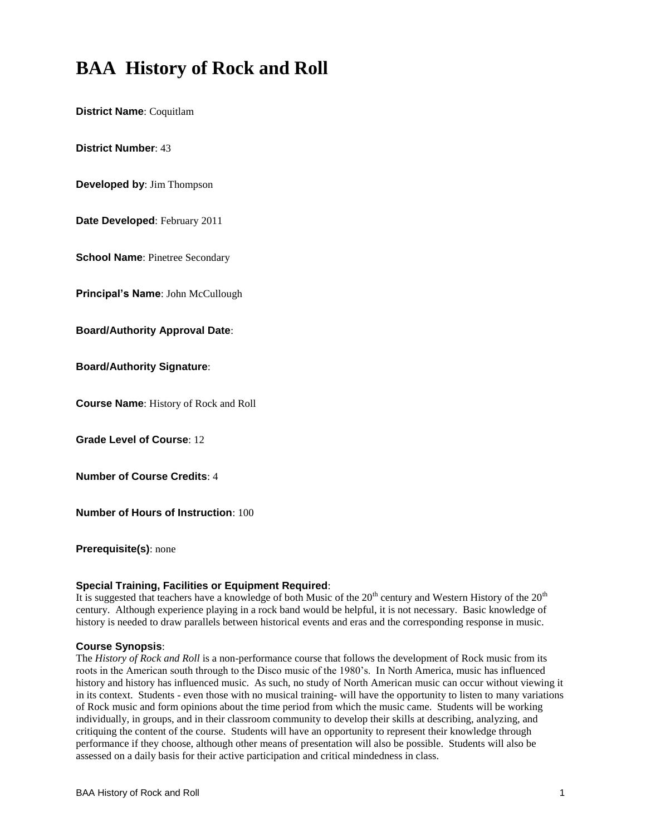# **BAA History of Rock and Roll**

**District Name**: Coquitlam

**District Number**: 43

**Developed by**: Jim Thompson

**Date Developed**: February 2011

**School Name**: Pinetree Secondary

**Principal's Name**: John McCullough

**Board/Authority Approval Date**:

**Board/Authority Signature**:

**Course Name**: History of Rock and Roll

**Grade Level of Course**: 12

**Number of Course Credits**: 4

**Number of Hours of Instruction**: 100

**Prerequisite(s)**: none

#### **Special Training, Facilities or Equipment Required**:

It is suggested that teachers have a knowledge of both Music of the 20<sup>th</sup> century and Western History of the 20<sup>th</sup> century. Although experience playing in a rock band would be helpful, it is not necessary. Basic knowledge of history is needed to draw parallels between historical events and eras and the corresponding response in music.

#### **Course Synopsis**:

The *History of Rock and Roll* is a non-performance course that follows the development of Rock music from its roots in the American south through to the Disco music of the 1980's. In North America, music has influenced history and history has influenced music. As such, no study of North American music can occur without viewing it in its context. Students - even those with no musical training- will have the opportunity to listen to many variations of Rock music and form opinions about the time period from which the music came. Students will be working individually, in groups, and in their classroom community to develop their skills at describing, analyzing, and critiquing the content of the course. Students will have an opportunity to represent their knowledge through performance if they choose, although other means of presentation will also be possible. Students will also be assessed on a daily basis for their active participation and critical mindedness in class.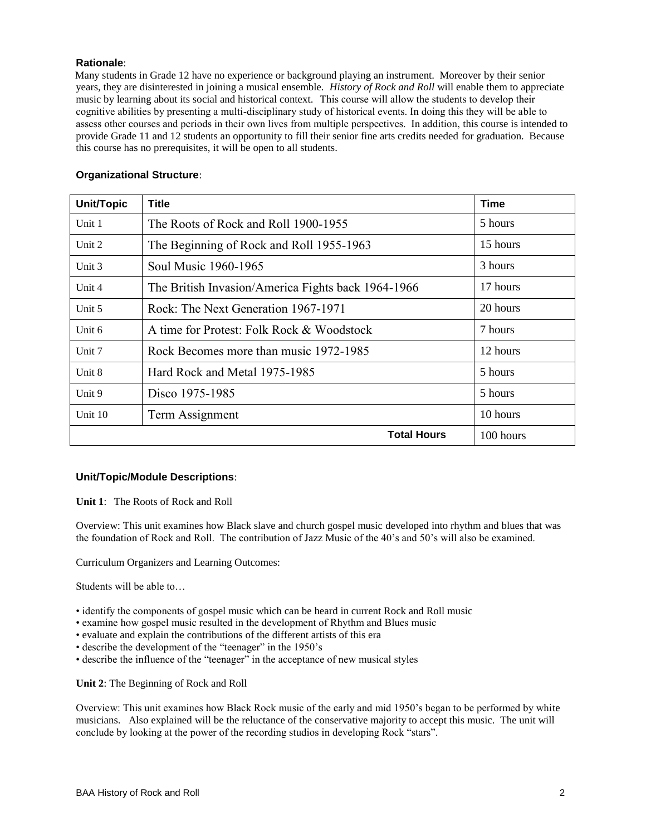# **Rationale**:

 Many students in Grade 12 have no experience or background playing an instrument. Moreover by their senior years, they are disinterested in joining a musical ensemble. *History of Rock and Roll* will enable them to appreciate music by learning about its social and historical context. This course will allow the students to develop their cognitive abilities by presenting a multi-disciplinary study of historical events. In doing this they will be able to assess other courses and periods in their own lives from multiple perspectives. In addition, this course is intended to provide Grade 11 and 12 students an opportunity to fill their senior fine arts credits needed for graduation. Because this course has no prerequisites, it will be open to all students.

| <b>Organizational Structure:</b> |  |
|----------------------------------|--|
|                                  |  |

| Unit/Topic | <b>Title</b>                                       | Time     |
|------------|----------------------------------------------------|----------|
| Unit 1     | The Roots of Rock and Roll 1900-1955               | 5 hours  |
| Unit 2     | The Beginning of Rock and Roll 1955-1963           | 15 hours |
| Unit 3     | Soul Music 1960-1965                               | 3 hours  |
| Unit 4     | The British Invasion/America Fights back 1964-1966 | 17 hours |
| Unit 5     | Rock: The Next Generation 1967-1971                | 20 hours |
| Unit $6$   | A time for Protest: Folk Rock & Woodstock          | 7 hours  |
| Unit 7     | Rock Becomes more than music 1972-1985             | 12 hours |
| Unit 8     | Hard Rock and Metal 1975-1985                      | 5 hours  |
| Unit 9     | Disco 1975-1985                                    | 5 hours  |
| Unit 10    | Term Assignment                                    | 10 hours |
|            | 100 hours                                          |          |

# **Unit/Topic/Module Descriptions**:

**Unit 1**: The Roots of Rock and Roll

Overview: This unit examines how Black slave and church gospel music developed into rhythm and blues that was the foundation of Rock and Roll. The contribution of Jazz Music of the 40's and 50's will also be examined.

Curriculum Organizers and Learning Outcomes:

Students will be able to…

- identify the components of gospel music which can be heard in current Rock and Roll music
- examine how gospel music resulted in the development of Rhythm and Blues music
- evaluate and explain the contributions of the different artists of this era
- describe the development of the "teenager" in the 1950's
- describe the influence of the "teenager" in the acceptance of new musical styles

**Unit 2**: The Beginning of Rock and Roll

Overview: This unit examines how Black Rock music of the early and mid 1950's began to be performed by white musicians. Also explained will be the reluctance of the conservative majority to accept this music. The unit will conclude by looking at the power of the recording studios in developing Rock "stars".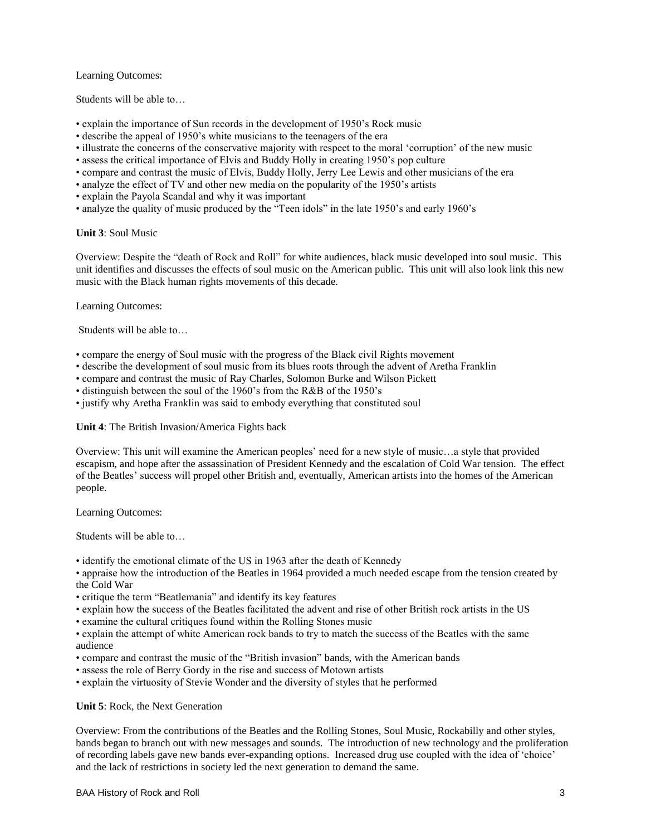#### Learning Outcomes:

Students will be able to…

- explain the importance of Sun records in the development of 1950's Rock music
- describe the appeal of 1950's white musicians to the teenagers of the era
- illustrate the concerns of the conservative majority with respect to the moral 'corruption' of the new music
- assess the critical importance of Elvis and Buddy Holly in creating 1950's pop culture
- compare and contrast the music of Elvis, Buddy Holly, Jerry Lee Lewis and other musicians of the era
- analyze the effect of TV and other new media on the popularity of the 1950's artists
- explain the Payola Scandal and why it was important
- analyze the quality of music produced by the "Teen idols" in the late 1950's and early 1960's

#### **Unit 3**: Soul Music

Overview: Despite the "death of Rock and Roll" for white audiences, black music developed into soul music. This unit identifies and discusses the effects of soul music on the American public. This unit will also look link this new music with the Black human rights movements of this decade.

Learning Outcomes:

Students will be able to…

- compare the energy of Soul music with the progress of the Black civil Rights movement
- describe the development of soul music from its blues roots through the advent of Aretha Franklin
- compare and contrast the music of Ray Charles, Solomon Burke and Wilson Pickett
- distinguish between the soul of the 1960's from the R&B of the 1950's
- justify why Aretha Franklin was said to embody everything that constituted soul

# **Unit 4**: The British Invasion/America Fights back

Overview: This unit will examine the American peoples' need for a new style of music…a style that provided escapism, and hope after the assassination of President Kennedy and the escalation of Cold War tension. The effect of the Beatles' success will propel other British and, eventually, American artists into the homes of the American people.

Learning Outcomes:

Students will be able to…

• identify the emotional climate of the US in 1963 after the death of Kennedy

• appraise how the introduction of the Beatles in 1964 provided a much needed escape from the tension created by the Cold War

- critique the term "Beatlemania" and identify its key features
- explain how the success of the Beatles facilitated the advent and rise of other British rock artists in the US
- examine the cultural critiques found within the Rolling Stones music
- explain the attempt of white American rock bands to try to match the success of the Beatles with the same audience
- compare and contrast the music of the "British invasion" bands, with the American bands
- assess the role of Berry Gordy in the rise and success of Motown artists
- explain the virtuosity of Stevie Wonder and the diversity of styles that he performed

**Unit 5**: Rock, the Next Generation

Overview: From the contributions of the Beatles and the Rolling Stones, Soul Music, Rockabilly and other styles, bands began to branch out with new messages and sounds. The introduction of new technology and the proliferation of recording labels gave new bands ever-expanding options. Increased drug use coupled with the idea of 'choice' and the lack of restrictions in society led the next generation to demand the same.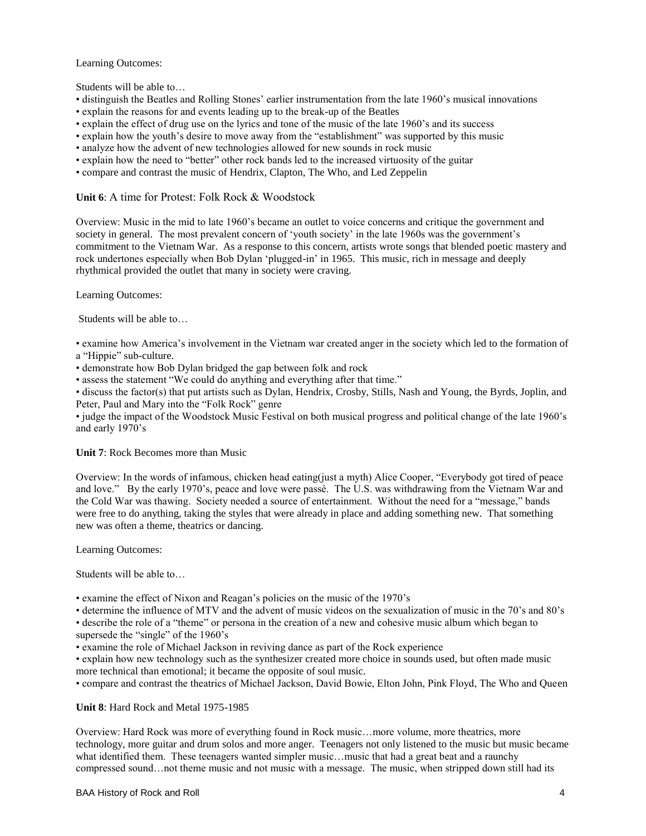#### Learning Outcomes:

Students will be able to…

- distinguish the Beatles and Rolling Stones' earlier instrumentation from the late 1960's musical innovations
- explain the reasons for and events leading up to the break-up of the Beatles
- explain the effect of drug use on the lyrics and tone of the music of the late 1960's and its success
- explain how the youth's desire to move away from the "establishment" was supported by this music
- analyze how the advent of new technologies allowed for new sounds in rock music
- explain how the need to "better" other rock bands led to the increased virtuosity of the guitar
- compare and contrast the music of Hendrix, Clapton, The Who, and Led Zeppelin

# **Unit 6**: A time for Protest: Folk Rock & Woodstock

Overview: Music in the mid to late 1960's became an outlet to voice concerns and critique the government and society in general. The most prevalent concern of 'youth society' in the late 1960s was the government's commitment to the Vietnam War. As a response to this concern, artists wrote songs that blended poetic mastery and rock undertones especially when Bob Dylan 'plugged-in' in 1965. This music, rich in message and deeply rhythmical provided the outlet that many in society were craving.

Learning Outcomes:

Students will be able to…

• examine how America's involvement in the Vietnam war created anger in the society which led to the formation of a "Hippie" sub-culture.

• demonstrate how Bob Dylan bridged the gap between folk and rock

• assess the statement "We could do anything and everything after that time."

• discuss the factor(s) that put artists such as Dylan, Hendrix, Crosby, Stills, Nash and Young, the Byrds, Joplin, and Peter, Paul and Mary into the "Folk Rock" genre

• judge the impact of the Woodstock Music Festival on both musical progress and political change of the late 1960's and early 1970's

**Unit 7**: Rock Becomes more than Music

Overview: In the words of infamous, chicken head eating(just a myth) Alice Cooper, "Everybody got tired of peace and love." By the early 1970's, peace and love were passé. The U.S. was withdrawing from the Vietnam War and the Cold War was thawing. Society needed a source of entertainment. Without the need for a "message," bands were free to do anything, taking the styles that were already in place and adding something new. That something new was often a theme, theatrics or dancing.

Learning Outcomes:

Students will be able to…

• examine the effect of Nixon and Reagan's policies on the music of the 1970's

• determine the influence of MTV and the advent of music videos on the sexualization of music in the 70's and 80's

• describe the role of a "theme" or persona in the creation of a new and cohesive music album which began to supersede the "single" of the 1960's

• examine the role of Michael Jackson in reviving dance as part of the Rock experience

• explain how new technology such as the synthesizer created more choice in sounds used, but often made music more technical than emotional; it became the opposite of soul music.

• compare and contrast the theatrics of Michael Jackson, David Bowie, Elton John, Pink Floyd, The Who and Queen

**Unit 8**: Hard Rock and Metal 1975-1985

Overview: Hard Rock was more of everything found in Rock music…more volume, more theatrics, more technology, more guitar and drum solos and more anger. Teenagers not only listened to the music but music became what identified them. These teenagers wanted simpler music...music that had a great beat and a raunchy compressed sound…not theme music and not music with a message. The music, when stripped down still had its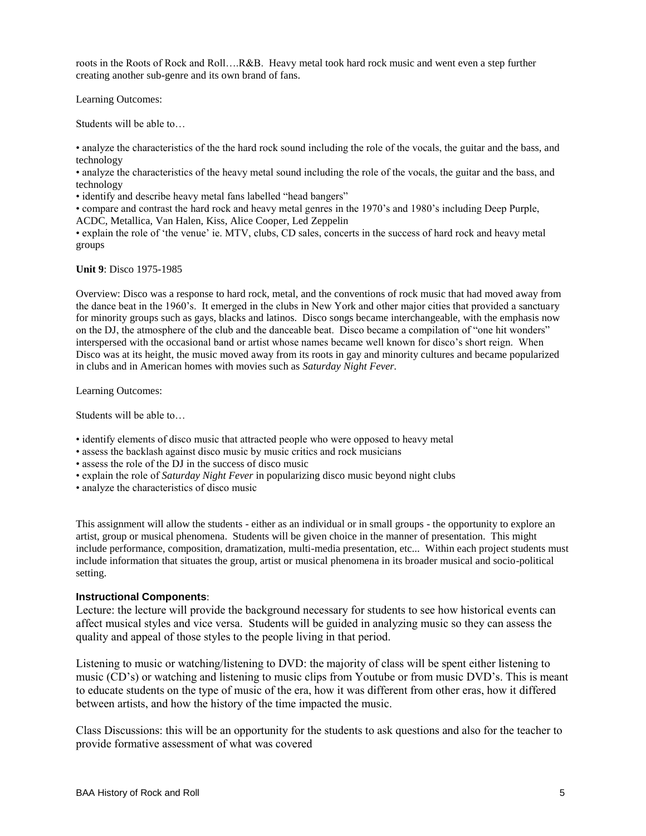roots in the Roots of Rock and Roll….R&B. Heavy metal took hard rock music and went even a step further creating another sub-genre and its own brand of fans.

Learning Outcomes:

Students will be able to…

• analyze the characteristics of the the hard rock sound including the role of the vocals, the guitar and the bass, and technology

• analyze the characteristics of the heavy metal sound including the role of the vocals, the guitar and the bass, and technology

• identify and describe heavy metal fans labelled "head bangers"

• compare and contrast the hard rock and heavy metal genres in the 1970's and 1980's including Deep Purple, ACDC, Metallica, Van Halen, Kiss, Alice Cooper, Led Zeppelin

• explain the role of 'the venue' ie. MTV, clubs, CD sales, concerts in the success of hard rock and heavy metal groups

#### **Unit 9**: Disco 1975-1985

Overview: Disco was a response to hard rock, metal, and the conventions of rock music that had moved away from the dance beat in the 1960's. It emerged in the clubs in New York and other major cities that provided a sanctuary for minority groups such as gays, blacks and latinos. Disco songs became interchangeable, with the emphasis now on the DJ, the atmosphere of the club and the danceable beat. Disco became a compilation of "one hit wonders" interspersed with the occasional band or artist whose names became well known for disco's short reign. When Disco was at its height, the music moved away from its roots in gay and minority cultures and became popularized in clubs and in American homes with movies such as *Saturday Night Fever.*

Learning Outcomes:

Students will be able to…

- identify elements of disco music that attracted people who were opposed to heavy metal
- assess the backlash against disco music by music critics and rock musicians
- assess the role of the DJ in the success of disco music
- explain the role of *Saturday Night Fever* in popularizing disco music beyond night clubs
- analyze the characteristics of disco music

This assignment will allow the students - either as an individual or in small groups - the opportunity to explore an artist, group or musical phenomena. Students will be given choice in the manner of presentation. This might include performance, composition, dramatization, multi-media presentation, etc... Within each project students must include information that situates the group, artist or musical phenomena in its broader musical and socio-political setting.

# **Instructional Components**:

Lecture: the lecture will provide the background necessary for students to see how historical events can affect musical styles and vice versa. Students will be guided in analyzing music so they can assess the quality and appeal of those styles to the people living in that period.

Listening to music or watching/listening to DVD: the majority of class will be spent either listening to music (CD's) or watching and listening to music clips from Youtube or from music DVD's. This is meant to educate students on the type of music of the era, how it was different from other eras, how it differed between artists, and how the history of the time impacted the music.

Class Discussions: this will be an opportunity for the students to ask questions and also for the teacher to provide formative assessment of what was covered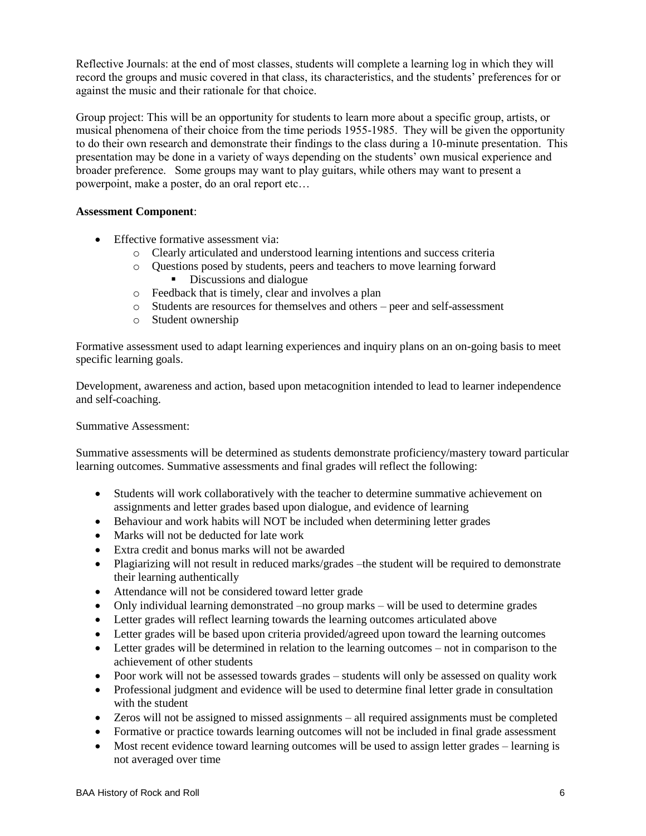Reflective Journals: at the end of most classes, students will complete a learning log in which they will record the groups and music covered in that class, its characteristics, and the students' preferences for or against the music and their rationale for that choice.

Group project: This will be an opportunity for students to learn more about a specific group, artists, or musical phenomena of their choice from the time periods 1955-1985. They will be given the opportunity to do their own research and demonstrate their findings to the class during a 10-minute presentation. This presentation may be done in a variety of ways depending on the students' own musical experience and broader preference. Some groups may want to play guitars, while others may want to present a powerpoint, make a poster, do an oral report etc…

# **Assessment Component**:

- Effective formative assessment via:
	- o Clearly articulated and understood learning intentions and success criteria
	- o Questions posed by students, peers and teachers to move learning forward Discussions and dialogue
	- o Feedback that is timely, clear and involves a plan
	- o Students are resources for themselves and others peer and self-assessment
	- o Student ownership

Formative assessment used to adapt learning experiences and inquiry plans on an on-going basis to meet specific learning goals.

Development, awareness and action, based upon metacognition intended to lead to learner independence and self-coaching.

# Summative Assessment:

Summative assessments will be determined as students demonstrate proficiency/mastery toward particular learning outcomes. Summative assessments and final grades will reflect the following:

- Students will work collaboratively with the teacher to determine summative achievement on assignments and letter grades based upon dialogue, and evidence of learning
- Behaviour and work habits will NOT be included when determining letter grades
- Marks will not be deducted for late work
- Extra credit and bonus marks will not be awarded
- Plagiarizing will not result in reduced marks/grades –the student will be required to demonstrate their learning authentically
- Attendance will not be considered toward letter grade
- Only individual learning demonstrated –no group marks will be used to determine grades
- Letter grades will reflect learning towards the learning outcomes articulated above
- Letter grades will be based upon criteria provided/agreed upon toward the learning outcomes
- Letter grades will be determined in relation to the learning outcomes not in comparison to the achievement of other students
- Poor work will not be assessed towards grades students will only be assessed on quality work
- Professional judgment and evidence will be used to determine final letter grade in consultation with the student
- Zeros will not be assigned to missed assignments all required assignments must be completed
- Formative or practice towards learning outcomes will not be included in final grade assessment
- Most recent evidence toward learning outcomes will be used to assign letter grades learning is not averaged over time